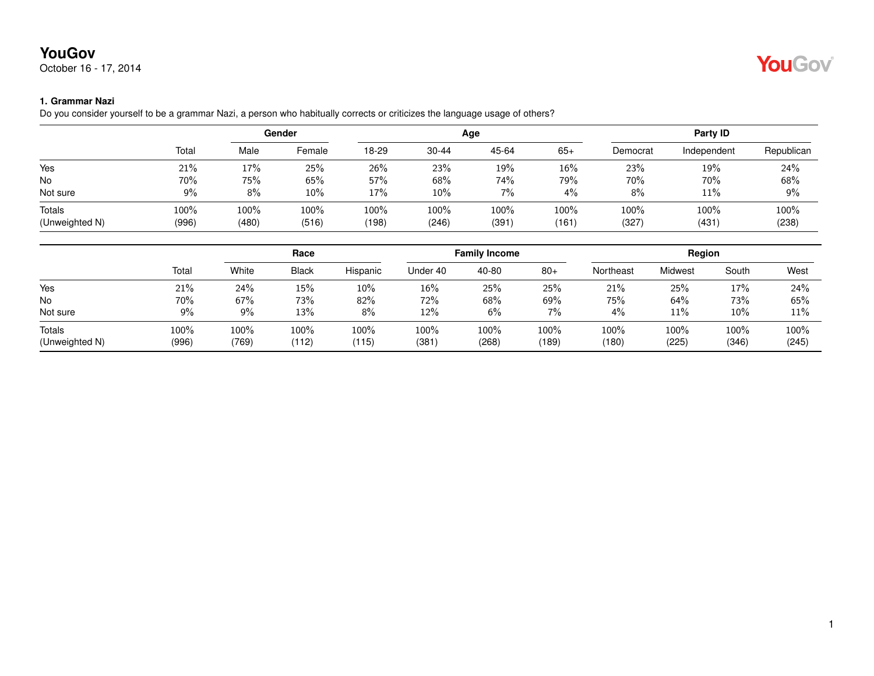October 16 - 17, 2014

### **1. Grammar Nazi**

Do you consider yourself to be a grammar Nazi, a person who habitually corrects or criticizes the language usage of others?

|                |       |       | Gender |       |           | Age   |       |          | <b>Party ID</b> |            |
|----------------|-------|-------|--------|-------|-----------|-------|-------|----------|-----------------|------------|
|                | Total | Male  | Female | 18-29 | $30 - 44$ | 45-64 | $65+$ | Democrat | Independent     | Republican |
| Yes            | 21%   | 17%   | 25%    | 26%   | 23%       | 19%   | 16%   | 23%      | 19%             | 24%        |
| No             | 70%   | 75%   | 65%    | 57%   | 68%       | 74%   | 79%   | 70%      | 70%             | 68%        |
| Not sure       | $9\%$ | 8%    | 10%    | 17%   | 10%       | 7%    | $4\%$ | 8%       | 11%             | 9%         |
| Totals         | 100%  | 100%  | 100%   | 100%  | 100%      | 100%  | 100%  | 100%     | 100%            | 100%       |
| (Unweighted N) | (996) | (480) | (516)  | (198) | (246)     | (391) | (161) | (327)    | (431)           | (238)      |

|                                 |               | Race          |               | <b>Family Income</b> |              |               | Region        |               |               |               |               |
|---------------------------------|---------------|---------------|---------------|----------------------|--------------|---------------|---------------|---------------|---------------|---------------|---------------|
|                                 | Total         | White         | <b>Black</b>  | Hispanic             | Under 40     | 40-80         | $80+$         | Northeast     | Midwest       | South         | West          |
| Yes                             | 21%           | 24%           | 15%           | $10\%$               | 16%          | 25%           | 25%           | 21%           | 25%           | 17%           | 24%           |
| No                              | 70%           | 67%           | 73%           | 82%                  | 72%          | 68%           | 69%           | 75%           | 64%           | 73%           | 65%           |
| Not sure                        | 9%            | 9%            | 13%           | $8\%$                | 12%          | 6%            | 7%            | 4%            | 11%           | 10%           | 11%           |
| <b>Totals</b><br>(Unweighted N) | 100%<br>(996) | 100%<br>(769) | 100%<br>(112) | 100%<br>(115)        | 100%<br>(381 | 100%<br>(268) | 100%<br>(189) | 100%<br>(180) | 100%<br>(225) | 100%<br>(346) | 100%<br>(245) |

# YouGov®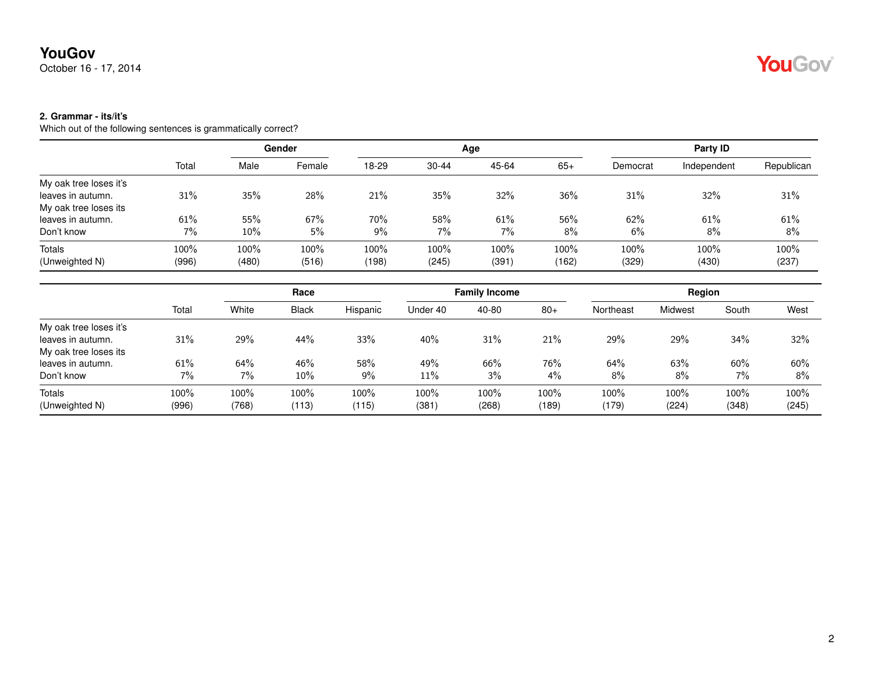October 16 - 17, 2014

### **2. Grammar - its/it's**

|                        |       | Gender |        |       |           | Age   | Party ID |          |             |            |
|------------------------|-------|--------|--------|-------|-----------|-------|----------|----------|-------------|------------|
|                        | Total | Male   | Female | 18-29 | $30 - 44$ | 45-64 | $65+$    | Democrat | Independent | Republican |
| My oak tree loses it's |       |        |        |       |           |       |          |          |             |            |
| leaves in autumn.      | 31%   | 35%    | 28%    | 21%   | 35%       | 32%   | 36%      | 31%      | 32%         | 31%        |
| My oak tree loses its  |       |        |        |       |           |       |          |          |             |            |
| leaves in autumn.      | 61%   | 55%    | 67%    | 70%   | 58%       | 61%   | 56%      | 62%      | 61%         | 61%        |
| Don't know             | 7%    | 10%    | 5%     | $9\%$ | $7\%$     | 7%    | 8%       | 6%       | 8%          | 8%         |
| <b>Totals</b>          | 100%  | 100%   | 100%   | 100%  | 100%      | 100%  | 100%     | 100%     | 100%        | 100%       |
| (Unweighted N)         | (996) | (480)  | (516)  | (198) | (245)     | (391) | (162)    | (329)    | (430)       | (237)      |

|                        |       | Race  |              | <b>Family Income</b> |          |         | Region |           |         |       |       |
|------------------------|-------|-------|--------------|----------------------|----------|---------|--------|-----------|---------|-------|-------|
|                        | Total | White | <b>Black</b> | Hispanic             | Under 40 | 40-80   | $80+$  | Northeast | Midwest | South | West  |
| My oak tree loses it's |       |       |              |                      |          |         |        |           |         |       |       |
| leaves in autumn.      | 31%   | 29%   | 44%          | 33%                  | 40%      | 31%     | 21%    | 29%       | 29%     | 34%   | 32%   |
| My oak tree loses its  |       |       |              |                      |          |         |        |           |         |       |       |
| leaves in autumn.      | 61%   | 64%   | 46%          | 58%                  | 49%      | 66%     | 76%    | 64%       | 63%     | 60%   | 60%   |
| Don't know             | 7%    | 7%    | $10\%$       | $9\%$                | 11%      | $3\%$   | $4\%$  | 8%        | 8%      | $7\%$ | 8%    |
| Totals                 | 100%  | 100%  | 100%         | 100%                 | 100%     | $100\%$ | 100%   | 100%      | 100%    | 100%  | 100%  |
| (Unweighted N)         | (996) | (768) | (113)        | (115)                | (381)    | (268)   | (189)  | (179)     | (224)   | (348) | (245) |

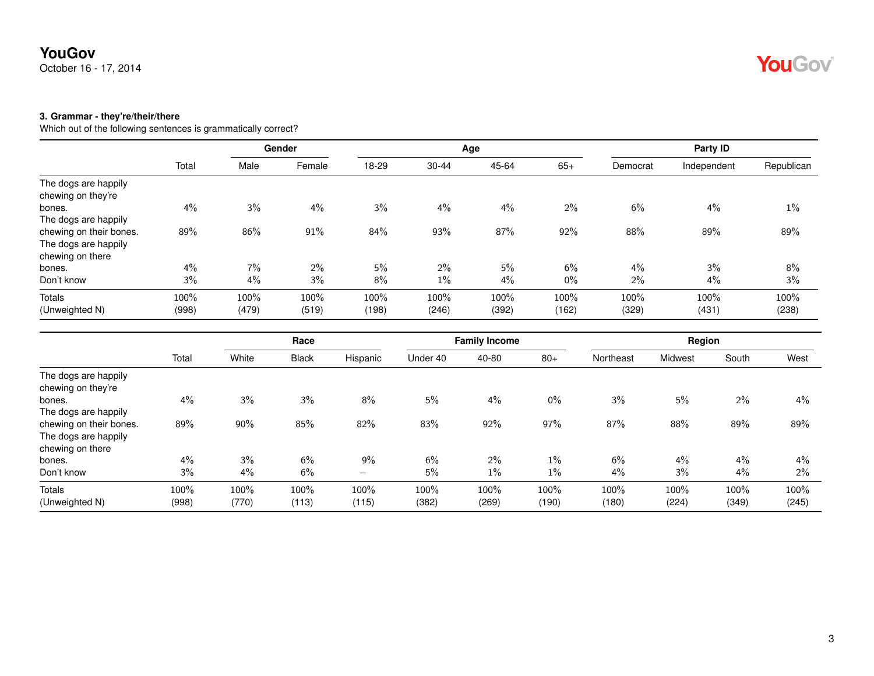October 16 - 17, 2014

#### **3. Grammar - they're/their/there**

|                         |       |       | Gender |       |       | Age   |       |          | <b>Party ID</b> |            |
|-------------------------|-------|-------|--------|-------|-------|-------|-------|----------|-----------------|------------|
|                         | Total | Male  | Female | 18-29 | 30-44 | 45-64 | $65+$ | Democrat | Independent     | Republican |
| The dogs are happily    |       |       |        |       |       |       |       |          |                 |            |
| chewing on they're      |       |       |        |       |       |       |       |          |                 |            |
| bones.                  | 4%    | 3%    | 4%     | 3%    | 4%    | 4%    | $2\%$ | 6%       | 4%              | $1\%$      |
| The dogs are happily    |       |       |        |       |       |       |       |          |                 |            |
| chewing on their bones. | 89%   | 86%   | 91%    | 84%   | 93%   | 87%   | 92%   | 88%      | 89%             | 89%        |
| The dogs are happily    |       |       |        |       |       |       |       |          |                 |            |
| chewing on there        |       |       |        |       |       |       |       |          |                 |            |
| bones.                  | 4%    | 7%    | $2\%$  | 5%    | $2\%$ | 5%    | 6%    | 4%       | 3%              | 8%         |
| Don't know              | 3%    | 4%    | 3%     | 8%    | 1%    | 4%    | $0\%$ | 2%       | 4%              | 3%         |
| Totals                  | 100%  | 100%  | 100%   | 100%  | 100%  | 100%  | 100%  | 100%     | 100%            | 100%       |
| (Unweighted N)          | (998) | (479) | (519)  | (198) | (246) | (392) | (162) | (329)    | (431)           | (238)      |

|                                            |       |       | Race         |          |          | <b>Family Income</b> |       |           | Region  |       |       |
|--------------------------------------------|-------|-------|--------------|----------|----------|----------------------|-------|-----------|---------|-------|-------|
|                                            | Total | White | <b>Black</b> | Hispanic | Under 40 | 40-80                | $80+$ | Northeast | Midwest | South | West  |
| The dogs are happily<br>chewing on they're |       |       |              |          |          |                      |       |           |         |       |       |
| bones.                                     | 4%    | 3%    | 3%           | 8%       | 5%       | 4%                   | $0\%$ | 3%        | 5%      | $2\%$ | $4\%$ |
| The dogs are happily                       |       |       |              |          |          |                      |       |           |         |       |       |
| chewing on their bones.                    | 89%   | 90%   | 85%          | 82%      | 83%      | 92%                  | 97%   | 87%       | 88%     | 89%   | 89%   |
| The dogs are happily                       |       |       |              |          |          |                      |       |           |         |       |       |
| chewing on there                           |       |       |              |          |          |                      |       |           |         |       |       |
| bones.                                     | 4%    | 3%    | 6%           | 9%       | 6%       | 2%                   | $1\%$ | 6%        | $4\%$   | $4\%$ | $4\%$ |
| Don't know                                 | 3%    | 4%    | 6%           | -        | 5%       | 1%                   | $1\%$ | 4%        | 3%      | 4%    | $2\%$ |
| Totals                                     | 100%  | 100%  | 100%         | 100%     | 100%     | 100%                 | 100%  | 100%      | 100%    | 100%  | 100%  |
| (Unweighted N)                             | (998) | (770) | (113)        | (115)    | (382)    | (269)                | (190) | (180)     | (224)   | (349) | (245) |

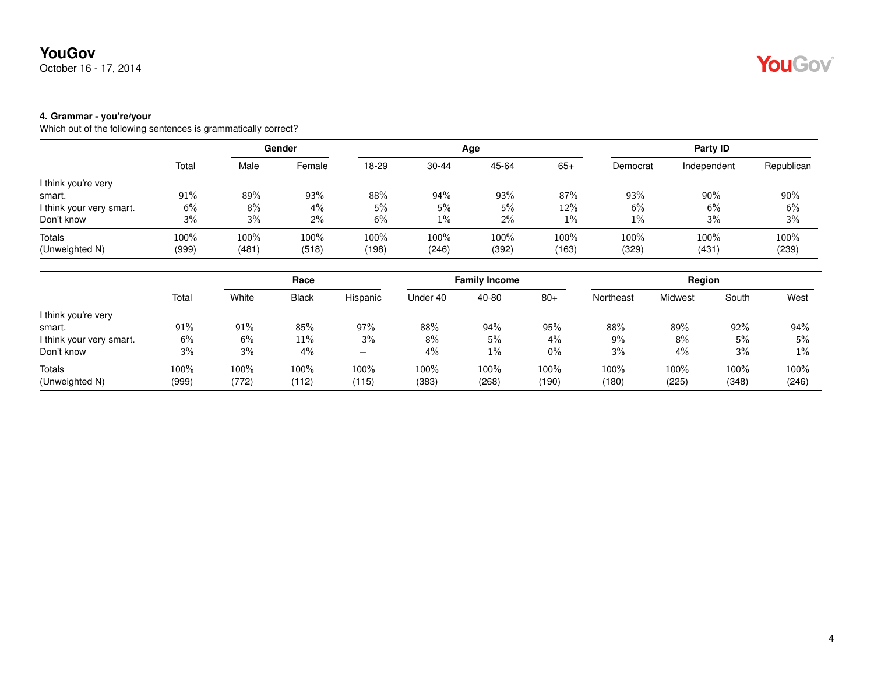October 16 - 17, 2014

#### **4. Grammar - you're/your**

|                          |        | Gender |        |       |           | Age   | Party ID |          |             |            |
|--------------------------|--------|--------|--------|-------|-----------|-------|----------|----------|-------------|------------|
|                          | Total  | Male   | Female | 18-29 | $30 - 44$ | 45-64 | $65+$    | Democrat | Independent | Republican |
| I think you're very      |        |        |        |       |           |       |          |          |             |            |
| smart.                   | $91\%$ | 89%    | 93%    | 88%   | 94%       | 93%   | 87%      | 93%      | 90%         | $90\%$     |
| I think your very smart. | 6%     | 8%     | 4%     | 5%    | 5%        | 5%    | 12%      | 6%       | 6%          | 6%         |
| Don't know               | 3%     | 3%     | 2%     | 6%    | $1\%$     | $2\%$ | $1\%$    | $1\%$    | 3%          | 3%         |
| <b>Totals</b>            | 100%   | 100%   | 100%   | 100%  | 100%      | 100%  | $100\%$  | 100%     | 100%        | 100%       |
| (Unweighted N)           | (999)  | (481)  | (518)  | (198) | (246)     | (392) | (163)    | (329)    | (431)       | (239)      |

|                          |       | Race  |              |          | <b>Family Income</b> |       |       | Region    |         |       |       |
|--------------------------|-------|-------|--------------|----------|----------------------|-------|-------|-----------|---------|-------|-------|
|                          | Total | White | <b>Black</b> | Hispanic | Under 40             | 40-80 | $80+$ | Northeast | Midwest | South | West  |
| I think you're very      |       |       |              |          |                      |       |       |           |         |       |       |
| smart.                   | 91%   | 91%   | 85%          | 97%      | 88%                  | 94%   | 95%   | $88\%$    | 89%     | 92%   | 94%   |
| I think your very smart. | 6%    | 6%    | 11%          | 3%       | 8%                   | 5%    | $4\%$ | 9%        | 8%      | 5%    | 5%    |
| Don't know               | 3%    | 3%    | 4%           | -        | 4%                   | $1\%$ | 0%    | 3%        | 4%      | 3%    | $1\%$ |
| Totals                   | 100%  | 100%  | 100%         | 100%     | 100%                 | 100%  | 100%  | 100%      | 100%    | 100%  | 100%  |
| (Unweighted N)           | (999) | (772) | (112)        | (115)    | (383)                | (268) | (190) | (180)     | (225)   | (348) | (246) |

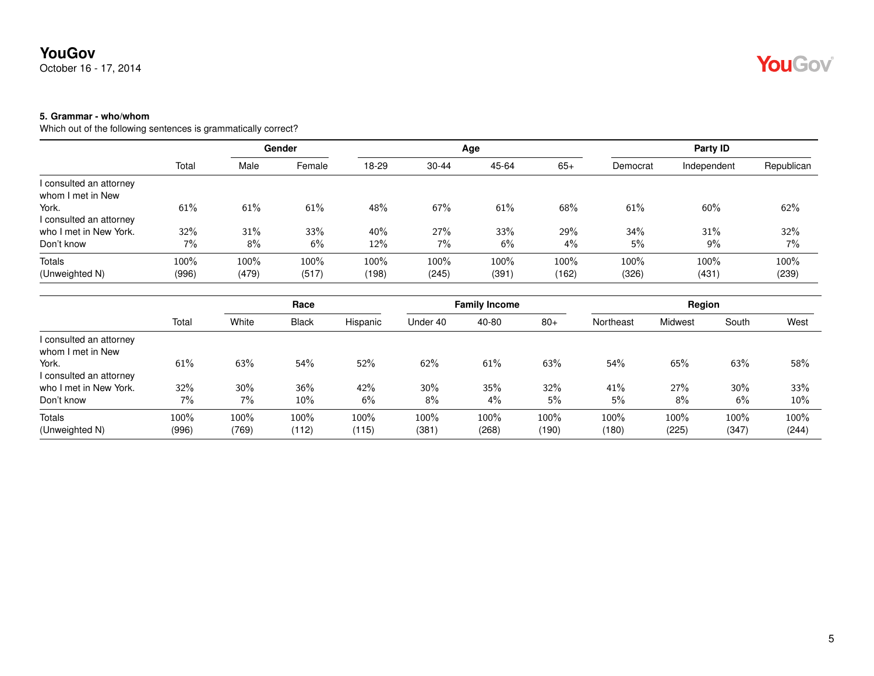October 16 - 17, 2014

### **5. Grammar - who/whom**

|                         |       | Gender |        |       |           | Age   | Party ID |          |             |            |
|-------------------------|-------|--------|--------|-------|-----------|-------|----------|----------|-------------|------------|
|                         | Total | Male   | Female | 18-29 | $30 - 44$ | 45-64 | $65+$    | Democrat | Independent | Republican |
| I consulted an attorney |       |        |        |       |           |       |          |          |             |            |
| whom I met in New       |       |        |        |       |           |       |          |          |             |            |
| York.                   | 61%   | 61%    | 61%    | 48%   | 67%       | 61%   | 68%      | 61%      | 60%         | 62%        |
| I consulted an attorney |       |        |        |       |           |       |          |          |             |            |
| who I met in New York.  | 32%   | 31%    | 33%    | 40%   | 27%       | 33%   | 29%      | 34%      | 31%         | 32%        |
| Don't know              | $7\%$ | 8%     | 6%     | 12%   | $7\%$     | 6%    | $4\%$    | 5%       | 9%          | 7%         |
| Totals                  | 100%  | 100%   | 100%   | 100%  | 100%      | 100%  | 100%     | 100%     | 100%        | 100%       |
| (Unweighted N)          | (996) | (479)  | (517)  | (198) | (245)     | (391) | (162)    | (326)    | (431)       | (239)      |

|                         |       | Race   |              | <b>Family Income</b> |          |       | Region |           |         |       |       |
|-------------------------|-------|--------|--------------|----------------------|----------|-------|--------|-----------|---------|-------|-------|
|                         | Total | White  | <b>Black</b> | Hispanic             | Under 40 | 40-80 | $80+$  | Northeast | Midwest | South | West  |
| I consulted an attorney |       |        |              |                      |          |       |        |           |         |       |       |
| whom I met in New       |       |        |              |                      |          |       |        |           |         |       |       |
| York.                   | 61%   | 63%    | 54%          | 52%                  | 62%      | 61%   | 63%    | 54%       | 65%     | 63%   | 58%   |
| I consulted an attorney |       |        |              |                      |          |       |        |           |         |       |       |
| who I met in New York.  | 32%   | $30\%$ | 36%          | 42%                  | 30%      | 35%   | 32%    | 41%       | 27%     | 30%   | 33%   |
| Don't know              | 7%    | $7\%$  | $10\%$       | 6%                   | 8%       | $4\%$ | 5%     | 5%        | 8%      | 6%    | 10%   |
| Totals                  | 100%  | 100%   | 100%         | 100%                 | 100%     | 100%  | 100%   | 100%      | 100%    | 100%  | 100%  |
| (Unweighted N)          | (996) | (769)  | (112)        | (115)                | (381)    | (268) | (190)  | (180)     | (225)   | (347) | (244) |

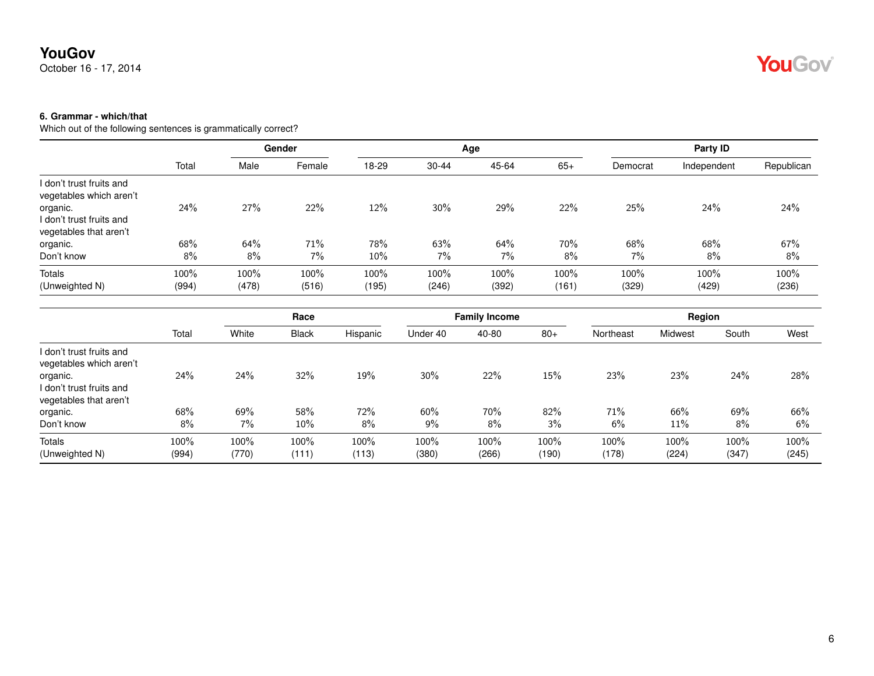October 16 - 17, 2014

### **6. Grammar - which/that**

|                                                                                                                       |               | Gender        |               |               |               | Age           | Party ID      |               |               |               |
|-----------------------------------------------------------------------------------------------------------------------|---------------|---------------|---------------|---------------|---------------|---------------|---------------|---------------|---------------|---------------|
|                                                                                                                       | Total         | Male          | Female        | 18-29         | $30 - 44$     | 45-64         | $65+$         | Democrat      | Independent   | Republican    |
| I don't trust fruits and<br>vegetables which aren't<br>organic.<br>I don't trust fruits and<br>vegetables that aren't | 24%           | 27%           | 22%           | 12%           | 30%           | 29%           | 22%           | 25%           | 24%           | 24%           |
| organic.<br>Don't know                                                                                                | 68%<br>8%     | 64%<br>8%     | 71%<br>7%     | 78%<br>10%    | 63%<br>$7\%$  | 64%<br>7%     | 70%<br>8%     | 68%<br>7%     | 68%<br>8%     | 67%<br>8%     |
| Totals<br>(Unweighted N)                                                                                              | 100%<br>(994) | 100%<br>(478) | 100%<br>(516) | 100%<br>(195) | 100%<br>(246) | 100%<br>(392) | 100%<br>(161) | 100%<br>(329) | 100%<br>(429) | 100%<br>(236) |

|                                                                                                                       |               | Race          |               |               |               | <b>Family Income</b> |               | Region        |               |               |               |
|-----------------------------------------------------------------------------------------------------------------------|---------------|---------------|---------------|---------------|---------------|----------------------|---------------|---------------|---------------|---------------|---------------|
|                                                                                                                       | Total         | White         | <b>Black</b>  | Hispanic      | Under 40      | 40-80                | $80+$         | Northeast     | Midwest       | South         | West          |
| I don't trust fruits and<br>vegetables which aren't<br>organic.<br>l don't trust fruits and<br>vegetables that aren't | 24%           | 24%           | 32%           | 19%           | 30%           | 22%                  | 15%           | 23%           | 23%           | 24%           | 28%           |
| organic.<br>Don't know                                                                                                | 68%<br>8%     | 69%<br>7%     | 58%<br>10%    | 72%<br>8%     | 60%<br>9%     | 70%<br>8%            | 82%<br>3%     | 71%<br>6%     | 66%<br>11%    | 69%<br>8%     | 66%<br>6%     |
| <b>Totals</b><br>(Unweighted N)                                                                                       | 100%<br>(994) | 100%<br>(770) | 100%<br>(111) | 100%<br>(113) | 100%<br>(380) | 100%<br>(266)        | 100%<br>(190) | 100%<br>(178) | 100%<br>(224) | 100%<br>(347) | 100%<br>(245) |